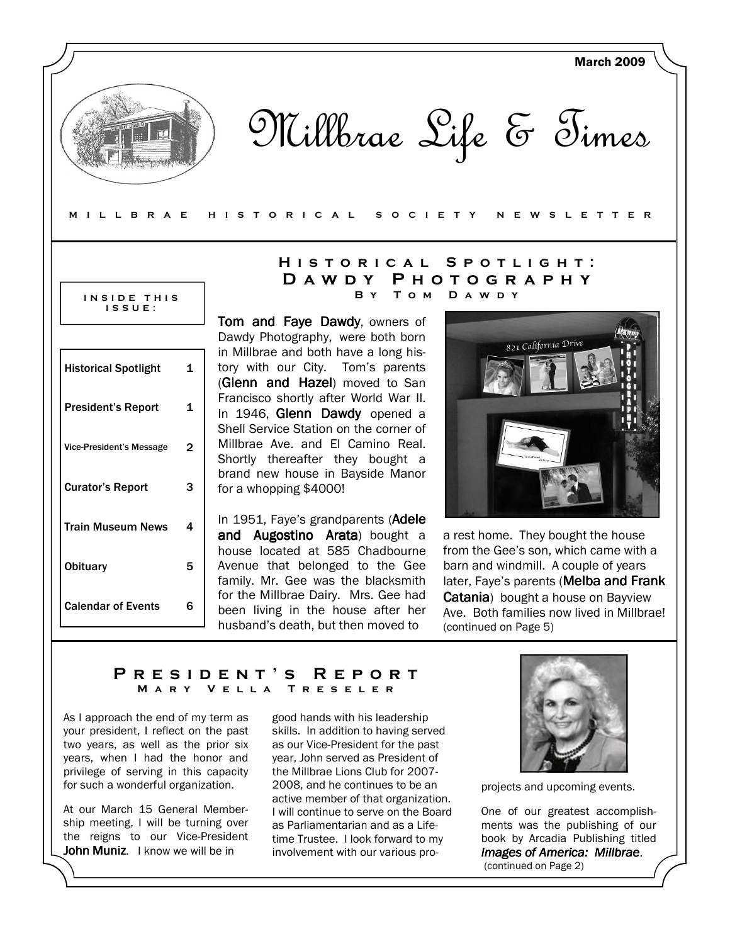

Millbrae Life & Times

#### M I L L B R A E H I S T O R I C A L S O C I E T Y N E W S L E T T E R

#### INSIDE THIS I S S U E :

| <b>Historical Spotlight</b>     | 1 |
|---------------------------------|---|
| <b>President's Report</b>       | 1 |
| <b>Vice-President's Message</b> | 2 |
| <b>Curator's Report</b>         | з |
| Train Museum News               | 4 |
| Obituary                        | 5 |
| <b>Calendar of Events</b>       | 6 |

## HISTORICAL SPOTLIGHT: D A W D Y P H O T O G R A P H Y B y T o m D a w d y

Tom and Faye Dawdy, owners of Dawdy Photography, were both born in Millbrae and both have a long history with our City. Tom's parents (Glenn and Hazel) moved to San Francisco shortly after World War II. In 1946, Glenn Dawdy opened a Shell Service Station on the corner of Millbrae Ave. and El Camino Real. Shortly thereafter they bought a brand new house in Bayside Manor for a whopping \$4000!

In 1951, Faye's grandparents (Adele and Augostino Arata) bought a house located at 585 Chadbourne Avenue that belonged to the Gee family. Mr. Gee was the blacksmith for the Millbrae Dairy. Mrs. Gee had been living in the house after her husband's death, but then moved to



a rest home. They bought the house from the Gee's son, which came with a barn and windmill. A couple of years later, Faye's parents (Melba and Frank Catania) bought a house on Bayview Ave. Both families now lived in Millbrae! (continued on Page 5)

## PRESIDENT'S REPORT<br>MARY VELLA TRESELER MARY VELLA

As I approach the end of my term as your president, I reflect on the past two years, as well as the prior six years, when I had the honor and privilege of serving in this capacity for such a wonderful organization.

At our March 15 General Membership meeting, I will be turning over the reigns to our Vice-President John Muniz. I know we will be in

good hands with his leadership skills. In addition to having served as our Vice-President for the past year, John served as President of the Millbrae Lions Club for 2007- 2008, and he continues to be an active member of that organization. I will continue to serve on the Board as Parliamentarian and as a Lifetime Trustee. I look forward to my involvement with our various pro-



projects and upcoming events.

One of our greatest accomplishments was the publishing of our book by Arcadia Publishing titled Images of America: Millbrae. (continued on Page 2)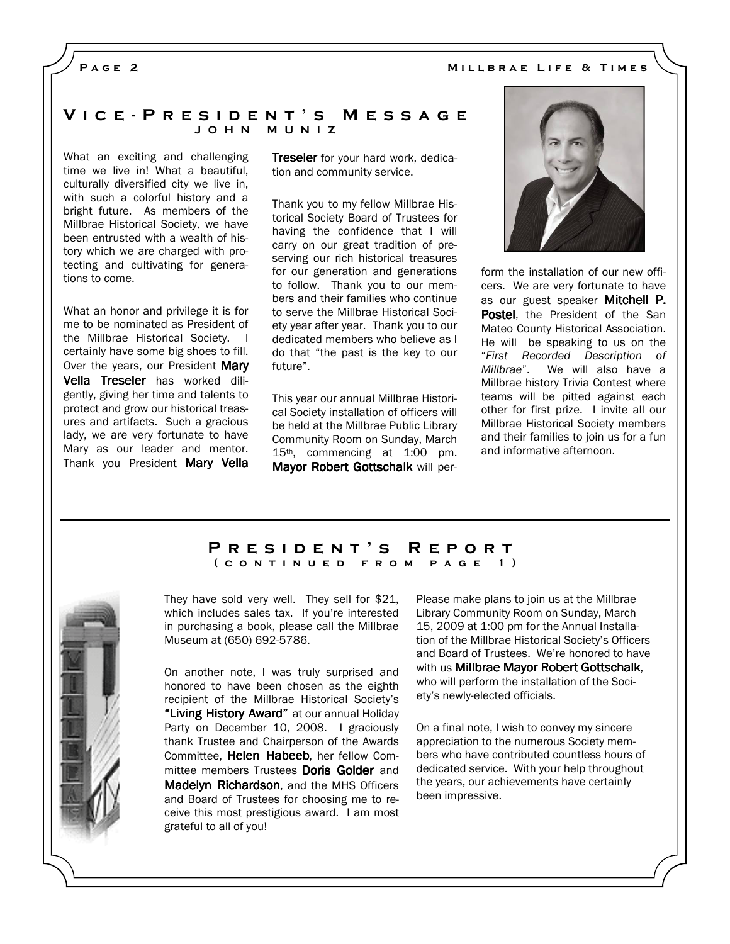### PAGE<sub>2</sub>

### V i c e - P r e s i d e n t ' s M e s s a g e J O H N M U N I Z

What an exciting and challenging time we live in! What a beautiful, culturally diversified city we live in, with such a colorful history and a bright future. As members of the Millbrae Historical Society, we have been entrusted with a wealth of history which we are charged with protecting and cultivating for generations to come.

What an honor and privilege it is for me to be nominated as President of the Millbrae Historical Society. I certainly have some big shoes to fill. Over the years, our President Mary Vella Treseler has worked diligently, giving her time and talents to protect and grow our historical treasures and artifacts. Such a gracious lady, we are very fortunate to have Mary as our leader and mentor. Thank you President Mary Vella

**Treseler** for your hard work, dedication and community service.

Thank you to my fellow Millbrae Historical Society Board of Trustees for having the confidence that I will carry on our great tradition of preserving our rich historical treasures for our generation and generations to follow. Thank you to our members and their families who continue to serve the Millbrae Historical Society year after year. Thank you to our dedicated members who believe as I do that "the past is the key to our future".

This year our annual Millbrae Historical Society installation of officers will be held at the Millbrae Public Library Community Room on Sunday, March 15th, commencing at 1:00 pm. Mayor Robert Gottschalk will per-



form the installation of our new officers. We are very fortunate to have as our guest speaker Mitchell P. Postel, the President of the San Mateo County Historical Association. He will be speaking to us on the "First Recorded Description of Millbrae". We will also have a Millbrae history Trivia Contest where teams will be pitted against each other for first prize. I invite all our Millbrae Historical Society members and their families to join us for a fun and informative afternoon.

#### PRESIDENT'S REPORT ( CONTINUED FROM PAGE 1)

They have sold very well. They sell for \$21, which includes sales tax. If you're interested in purchasing a book, please call the Millbrae Museum at (650) 692-5786.

On another note, I was truly surprised and honored to have been chosen as the eighth recipient of the Millbrae Historical Society's "Living History Award" at our annual Holiday Party on December 10, 2008. I graciously thank Trustee and Chairperson of the Awards Committee, Helen Habeeb, her fellow Committee members Trustees Doris Golder and Madelyn Richardson, and the MHS Officers and Board of Trustees for choosing me to receive this most prestigious award. I am most grateful to all of you!

Please make plans to join us at the Millbrae Library Community Room on Sunday, March 15, 2009 at 1:00 pm for the Annual Installation of the Millbrae Historical Society's Officers and Board of Trustees. We're honored to have with us Millbrae Mayor Robert Gottschalk, who will perform the installation of the Society's newly-elected officials.

On a final note, I wish to convey my sincere appreciation to the numerous Society members who have contributed countless hours of dedicated service. With your help throughout the years, our achievements have certainly been impressive.

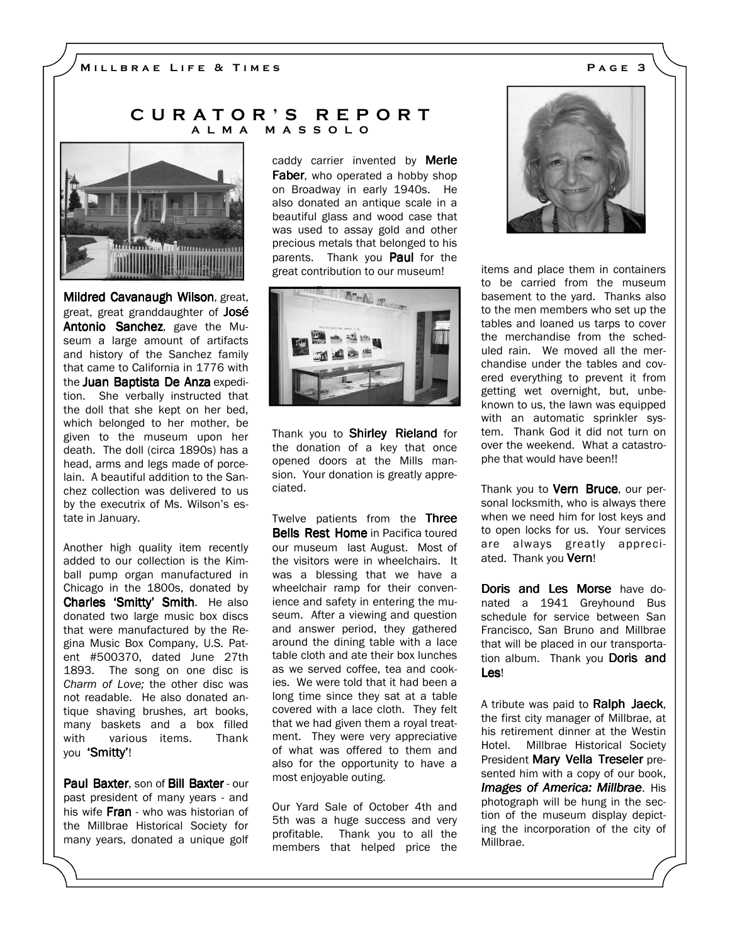### C U R A T O R ' S R E P O R T A L M A M A S S O L O



**Mildred Cavanaugh Wilson, great,** great, great granddaughter of José Antonio Sanchez, gave the Museum a large amount of artifacts and history of the Sanchez family that came to California in 1776 with the Juan Baptista De Anza expedition. She verbally instructed that the doll that she kept on her bed, which belonged to her mother, be given to the museum upon her death. The doll (circa 1890s) has a head, arms and legs made of porcelain. A beautiful addition to the Sanchez collection was delivered to us by the executrix of Ms. Wilson's estate in January.

Another high quality item recently added to our collection is the Kimball pump organ manufactured in Chicago in the 1800s, donated by Charles 'Smitty' Smith. He also donated two large music box discs that were manufactured by the Regina Music Box Company, U.S. Patent #500370, dated June 27th 1893. The song on one disc is Charm of Love; the other disc was not readable. He also donated antique shaving brushes, art books, many baskets and a box filled with various items. Thank you 'Smitty'!

Paul Baxter, son of Bill Baxter - our past president of many years - and his wife Fran - who was historian of the Millbrae Historical Society for many years, donated a unique golf caddy carrier invented by **Merle** Faber, who operated a hobby shop on Broadway in early 1940s. He also donated an antique scale in a beautiful glass and wood case that was used to assay gold and other precious metals that belonged to his parents. Thank you **Paul** for the great contribution to our museum!



Thank you to Shirley Rieland for the donation of a key that once opened doors at the Mills mansion. Your donation is greatly appreciated.

Twelve patients from the Three **Bells Rest Home** in Pacifica toured our museum last August. Most of the visitors were in wheelchairs. It was a blessing that we have a wheelchair ramp for their convenience and safety in entering the museum. After a viewing and question and answer period, they gathered around the dining table with a lace table cloth and ate their box lunches as we served coffee, tea and cookies. We were told that it had been a long time since they sat at a table covered with a lace cloth. They felt that we had given them a royal treatment. They were very appreciative of what was offered to them and also for the opportunity to have a most enjoyable outing.

Our Yard Sale of October 4th and 5th was a huge success and very profitable. Thank you to all the members that helped price the



items and place them in containers to be carried from the museum basement to the yard. Thanks also to the men members who set up the tables and loaned us tarps to cover the merchandise from the scheduled rain. We moved all the merchandise under the tables and covered everything to prevent it from getting wet overnight, but, unbeknown to us, the lawn was equipped with an automatic sprinkler system. Thank God it did not turn on over the weekend. What a catastrophe that would have been!!

Thank you to **Vern Bruce**, our personal locksmith, who is always there when we need him for lost keys and to open locks for us. Your services are always greatly appreciated. Thank you Vern!

Doris and Les Morse have donated a 1941 Greyhound Bus schedule for service between San Francisco, San Bruno and Millbrae that will be placed in our transportation album. Thank you Doris and Les!

A tribute was paid to Ralph Jaeck, the first city manager of Millbrae, at his retirement dinner at the Westin Hotel. Millbrae Historical Society President Mary Vella Treseler presented him with a copy of our book, Images of America: Millbrae. His photograph will be hung in the section of the museum display depicting the incorporation of the city of Millbrae.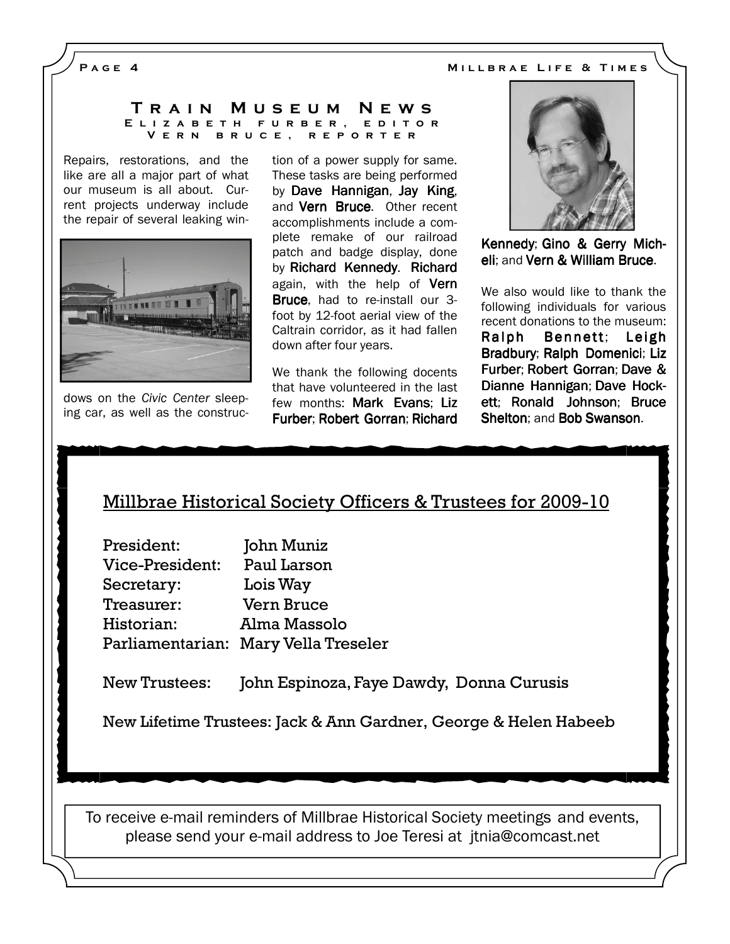PAGE 4 MILLBRAE LIFE & TIMES

#### T r a i n M u s e u m N e w s E L I Z A B E T H F U R B E R , E D I T O R V e r n b r u c e , r e p o r t e r

Repairs, restorations, and the like are all a major part of what our museum is all about. Current projects underway include the repair of several leaking win-



dows on the Civic Center sleeping car, as well as the construction of a power supply for same. These tasks are being performed by Dave Hannigan, Jay King, and **Vern Bruce.** Other recent accomplishments include a complete remake of our railroad patch and badge display, done by Richard Kennedy. Richard again, with the help of Vern **Bruce**, had to re-install our 3foot by 12-foot aerial view of the Caltrain corridor, as it had fallen down after four years.

We thank the following docents that have volunteered in the last few months: Mark Evans: Liz Furber; Robert Gorran; Richard



Kennedy; Gino & Gerry Micheli; and Vern & William Bruce.

We also would like to thank the following individuals for various recent donations to the museum: Ralph Bennett; Leigh Bradbury; Ralph Domenici; Liz Furber; Robert Gorran; Dave & Dianne Hannigan; Dave Hockett; Ronald Johnson; Bruce Shelton; and Bob Swanson.

# Millbrae Historical Society Officers & Trustees for 2009-10

President: John Muniz Vice-President: Paul Larson Secretary: Lois Way Treasurer: Vern Bruce Historian: Alma Massolo Parliamentarian: Mary Vella Treseler

New Trustees: John Espinoza, Faye Dawdy, Donna Curusis

New Lifetime Trustees: Jack & Ann Gardner, George & Helen Habeeb

To receive e-mail reminders of Millbrae Historical Society meetings and events, please send your e-mail address to Joe Teresi at jtnia@comcast.net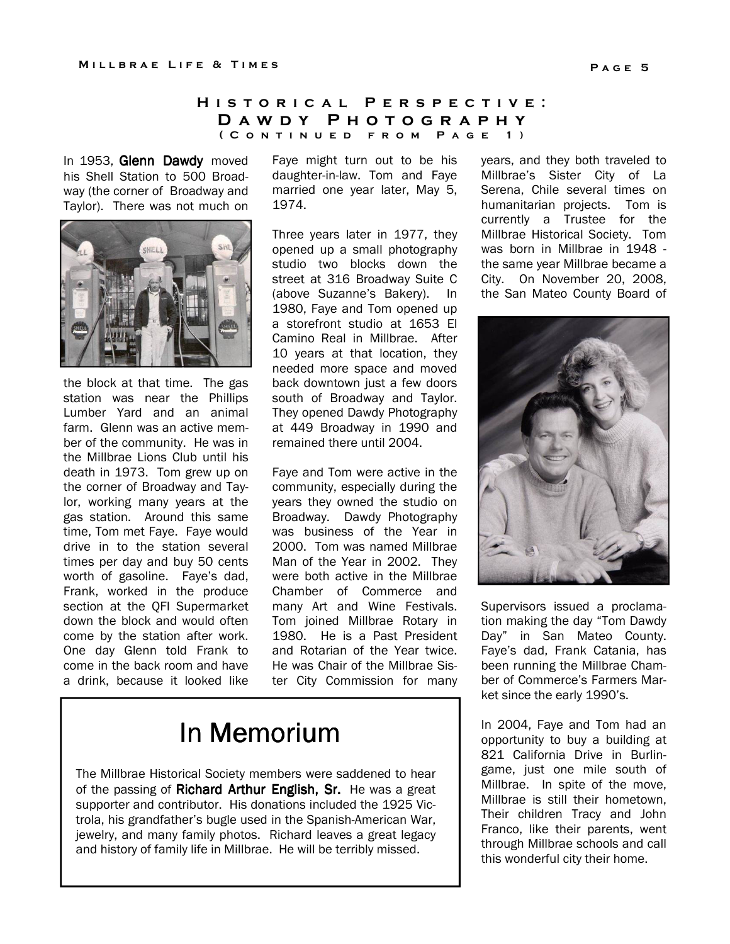## H I S T O R I C A L P E R S P E C T I V E : D A W D Y P H O T O G R A P H Y ( C O N T I N U E D F R O M P A G E 1 )

In 1953, Glenn Dawdy moved his Shell Station to 500 Broadway (the corner of Broadway and Taylor). There was not much on



the block at that time. The gas station was near the Phillips Lumber Yard and an animal farm. Glenn was an active member of the community. He was in the Millbrae Lions Club until his death in 1973. Tom grew up on the corner of Broadway and Taylor, working many years at the gas station. Around this same time, Tom met Faye. Faye would drive in to the station several times per day and buy 50 cents worth of gasoline. Faye's dad, Frank, worked in the produce section at the QFI Supermarket down the block and would often come by the station after work. One day Glenn told Frank to come in the back room and have a drink, because it looked like Faye might turn out to be his daughter-in-law. Tom and Faye married one year later, May 5, 1974.

Three years later in 1977, they opened up a small photography studio two blocks down the street at 316 Broadway Suite C (above Suzanne's Bakery). In 1980, Faye and Tom opened up a storefront studio at 1653 El Camino Real in Millbrae. After 10 years at that location, they needed more space and moved back downtown just a few doors south of Broadway and Taylor. They opened Dawdy Photography at 449 Broadway in 1990 and remained there until 2004.

Faye and Tom were active in the community, especially during the years they owned the studio on Broadway. Dawdy Photography was business of the Year in 2000. Tom was named Millbrae Man of the Year in 2002. They were both active in the Millbrae Chamber of Commerce and many Art and Wine Festivals. Tom joined Millbrae Rotary in 1980. He is a Past President and Rotarian of the Year twice. He was Chair of the Millbrae Sister City Commission for many

# In Memorium

The Millbrae Historical Society members were saddened to hear of the passing of **Richard Arthur English, Sr.** He was a great supporter and contributor. His donations included the 1925 Victrola, his grandfather's bugle used in the Spanish-American War, jewelry, and many family photos. Richard leaves a great legacy and history of family life in Millbrae. He will be terribly missed.

years, and they both traveled to Millbrae's Sister City of La Serena, Chile several times on humanitarian projects. Tom is currently a Trustee for the Millbrae Historical Society. Tom was born in Millbrae in 1948 the same year Millbrae became a City. On November 20, 2008, the San Mateo County Board of



Supervisors issued a proclamation making the day "Tom Dawdy Day" in San Mateo County. Faye's dad, Frank Catania, has been running the Millbrae Chamber of Commerce's Farmers Market since the early 1990's.

In 2004, Faye and Tom had an opportunity to buy a building at 821 California Drive in Burlingame, just one mile south of Millbrae. In spite of the move, Millbrae is still their hometown, Their children Tracy and John Franco, like their parents, went through Millbrae schools and call this wonderful city their home.